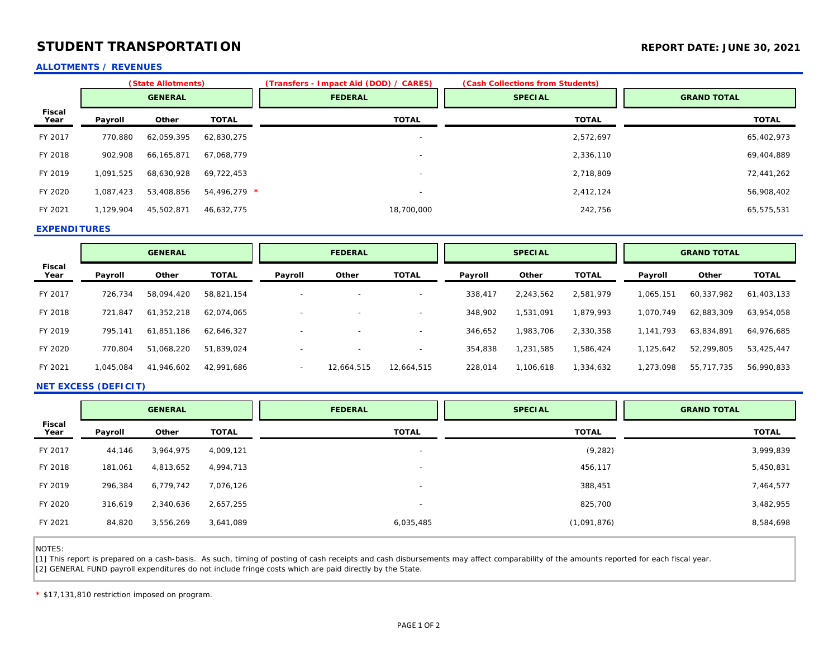## **STUDENT TRANSPORTATION** *REPORT ATTION* **REPORT DATE: JUNE 30, 2021**

### **ALLOTMENTS / REVENUES**

|                | (State Allotments) |            |                | (Transfers - Impact Aid (DOD) / CARES) | (Cash Collections from Students) |                    |  |
|----------------|--------------------|------------|----------------|----------------------------------------|----------------------------------|--------------------|--|
|                | <b>GENERAL</b>     |            |                | <b>FEDERAL</b>                         | <b>SPECIAL</b>                   | <b>GRAND TOTAL</b> |  |
| Fiscal<br>Year | Payroll            | Other      | <b>TOTAL</b>   | <b>TOTAL</b>                           | <b>TOTAL</b>                     | <b>TOTAL</b>       |  |
| FY 2017        | 770,880            | 62,059,395 | 62,830,275     | $\overline{\phantom{a}}$               | 2,572,697                        | 65,402,973         |  |
| FY 2018        | 902,908            | 66,165,871 | 67,068,779     | $\overline{\phantom{a}}$               | 2,336,110                        | 69,404,889         |  |
| FY 2019        | 1,091,525          | 68,630,928 | 69.722.453     | $\overline{\phantom{a}}$               | 2,718,809                        | 72,441,262         |  |
| FY 2020        | 1,087,423          | 53,408,856 | $54.496.279$ * | $\overline{\phantom{a}}$               | 2,412,124                        | 56,908,402         |  |
| FY 2021        | 1,129,904          | 45,502,871 | 46,632,775     | 18,700,000                             | 242,756                          | 65,575,531         |  |

### **EXPENDITURES**

|                | <b>GENERAL</b> |            | <b>FEDERAL</b> |                          | <b>SPECIAL</b> |                          | <b>GRAND TOTAL</b> |           |              |           |            |              |
|----------------|----------------|------------|----------------|--------------------------|----------------|--------------------------|--------------------|-----------|--------------|-----------|------------|--------------|
| Fiscal<br>Year | Payroll        | Other      | <b>TOTAL</b>   | Payroll                  | Other          | <b>TOTAL</b>             | Payroll            | Other     | <b>TOTAL</b> | Payroll   | Other      | <b>TOTAL</b> |
| FY 2017        | 726,734        | 58,094,420 | 58,821,154     | $\overline{\phantom{0}}$ |                | $\overline{\phantom{0}}$ | 338,417            | 2,243,562 | 2,581,979    | 1,065,151 | 60,337,982 | 61,403,133   |
| FY 2018        | 721,847        | 61,352,218 | 62,074,065     |                          |                | $\sim$                   | 348,902            | ,531,091  | 1,879,993    | 1,070,749 | 62,883,309 | 63,954,058   |
| FY 2019        | 795.141        | 61,851,186 | 62,646,327     | $\overline{\phantom{0}}$ |                |                          | 346,652            | 1,983,706 | 2,330,358    | 1,141,793 | 63,834,891 | 64,976,685   |
| FY 2020        | 770,804        | 51,068,220 | 51,839,024     | $\overline{\phantom{0}}$ |                | $\overline{\phantom{0}}$ | 354,838            | 1,231,585 | 1,586,424    | 1,125,642 | 52,299,805 | 53,425,447   |
| FY 2021        | 1,045,084      | 41,946,602 | 42,991,686     | $\overline{\phantom{0}}$ | 12.664.515     | 12,664,515               | 228,014            | 1,106,618 | 1,334,632    | 1,273,098 | 55,717,735 | 56,990,833   |

### **NET EXCESS (DEFICIT)**

|                       | <b>GENERAL</b> |           |              | <b>FEDERAL</b>           | <b>SPECIAL</b> | <b>GRAND TOTAL</b> |  |
|-----------------------|----------------|-----------|--------------|--------------------------|----------------|--------------------|--|
| <b>Fiscal</b><br>Year | Payroll        | Other     | <b>TOTAL</b> | <b>TOTAL</b>             | <b>TOTAL</b>   | <b>TOTAL</b>       |  |
| FY 2017               | 44,146         | 3,964,975 | 4,009,121    | $\overline{\phantom{0}}$ | (9, 282)       | 3,999,839          |  |
| FY 2018               | 181,061        | 4,813,652 | 4,994,713    | $\overline{\phantom{0}}$ | 456,117        | 5,450,831          |  |
| FY 2019               | 296,384        | 6,779,742 | 7,076,126    |                          | 388,451        | 7,464,577          |  |
| FY 2020               | 316,619        | 2,340,636 | 2,657,255    | $\overline{\phantom{0}}$ | 825,700        | 3,482,955          |  |
| FY 2021               | 84,820         | 3,556,269 | 3,641,089    | 6,035,485                | (1,091,876)    | 8,584,698          |  |

NOTES:

I

[1] This report is prepared on a cash-basis. As such, timing of posting of cash receipts and cash disbursements may affect comparability of the amounts reported for each fiscal year. [2] GENERAL FUND payroll expenditures do not include fringe costs which are paid directly by the State.

**\*** \$17,131,810 restriction imposed on program.